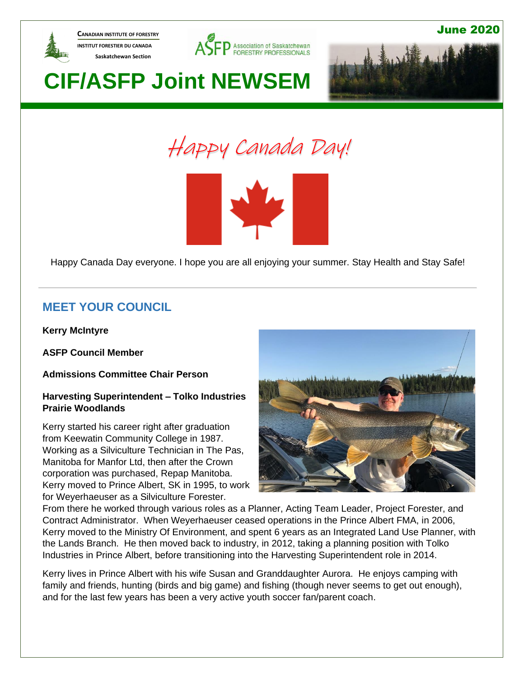

**CANADIAN INSTITUTE OF FORESTRY INSTITUT FORESTIER DU CANADA Saskatchewan Section** 



June 2020

# **CIF/ASFP Joint NEWSEM**







Happy Canada Day everyone. I hope you are all enjoying your summer. Stay Health and Stay Safe!

### **MEET YOUR COUNCIL**

**Kerry McIntyre**

**ASFP Council Member**

**Admissions Committee Chair Person**

### **Harvesting Superintendent – Tolko Industries Prairie Woodlands**

Kerry started his career right after graduation from Keewatin Community College in 1987. Working as a Silviculture Technician in The Pas, Manitoba for Manfor Ltd, then after the Crown corporation was purchased, Repap Manitoba. Kerry moved to Prince Albert, SK in 1995, to work for Weyerhaeuser as a Silviculture Forester.



From there he worked through various roles as a Planner, Acting Team Leader, Project Forester, and Contract Administrator. When Weyerhaeuser ceased operations in the Prince Albert FMA, in 2006, Kerry moved to the Ministry Of Environment, and spent 6 years as an Integrated Land Use Planner, with the Lands Branch. He then moved back to industry, in 2012, taking a planning position with Tolko Industries in Prince Albert, before transitioning into the Harvesting Superintendent role in 2014.

Kerry lives in Prince Albert with his wife Susan and Granddaughter Aurora. He enjoys camping with family and friends, hunting (birds and big game) and fishing (though never seems to get out enough), and for the last few years has been a very active youth soccer fan/parent coach.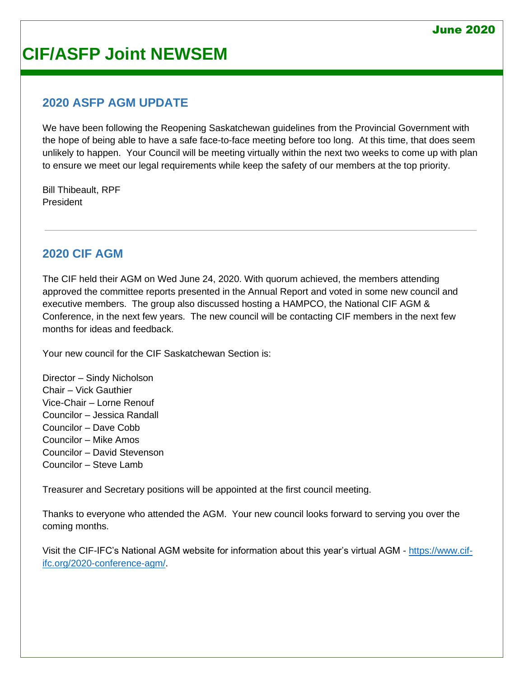### **2020 ASFP AGM UPDATE**

We have been following the Reopening Saskatchewan guidelines from the Provincial Government with the hope of being able to have a safe face-to-face meeting before too long. At this time, that does seem unlikely to happen. Your Council will be meeting virtually within the next two weeks to come up with plan to ensure we meet our legal requirements while keep the safety of our members at the top priority.

Bill Thibeault, RPF President

### **2020 CIF AGM**

The CIF held their AGM on Wed June 24, 2020. With quorum achieved, the members attending approved the committee reports presented in the Annual Report and voted in some new council and executive members. The group also discussed hosting a HAMPCO, the National CIF AGM & Conference, in the next few years. The new council will be contacting CIF members in the next few months for ideas and feedback.

Your new council for the CIF Saskatchewan Section is:

Director – Sindy Nicholson Chair – Vick Gauthier Vice-Chair – Lorne Renouf Councilor – Jessica Randall Councilor – Dave Cobb Councilor – Mike Amos Councilor – David Stevenson Councilor – Steve Lamb

Treasurer and Secretary positions will be appointed at the first council meeting.

Thanks to everyone who attended the AGM. Your new council looks forward to serving you over the coming months.

Visit the CIF-IFC's National AGM website for information about this year's virtual AGM - [https://www.cif](https://www.cif-ifc.org/2020-conference-agm/)[ifc.org/2020-conference-agm/.](https://www.cif-ifc.org/2020-conference-agm/)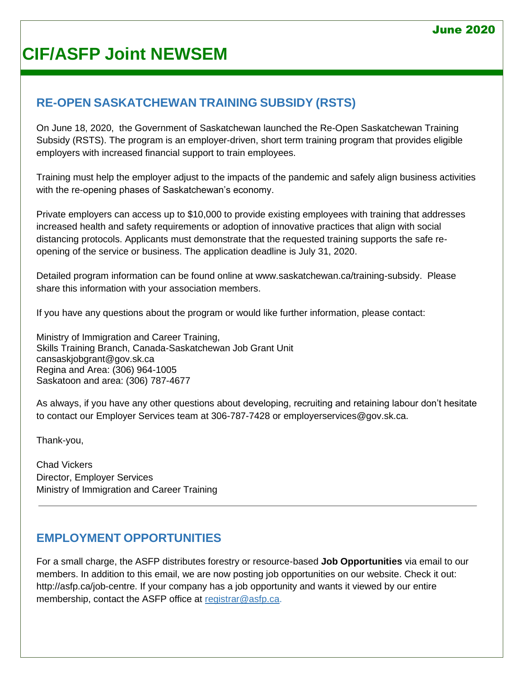## **RE-OPEN SASKATCHEWAN TRAINING SUBSIDY (RSTS)**

On June 18, 2020, the Government of Saskatchewan launched the Re-Open Saskatchewan Training Subsidy (RSTS). The program is an employer-driven, short term training program that provides eligible employers with increased financial support to train employees.

Training must help the employer adjust to the impacts of the pandemic and safely align business activities with the re-opening phases of Saskatchewan's economy.

Private employers can access up to \$10,000 to provide existing employees with training that addresses increased health and safety requirements or adoption of innovative practices that align with social distancing protocols. Applicants must demonstrate that the requested training supports the safe reopening of the service or business. The application deadline is July 31, 2020.

Detailed program information can be found online at www.saskatchewan.ca/training-subsidy. Please share this information with your association members.

If you have any questions about the program or would like further information, please contact:

Ministry of Immigration and Career Training, Skills Training Branch, Canada-Saskatchewan Job Grant Unit cansaskjobgrant@gov.sk.ca Regina and Area: (306) 964-1005 Saskatoon and area: (306) 787-4677

As always, if you have any other questions about developing, recruiting and retaining labour don't hesitate to contact our Employer Services team at 306-787-7428 or employerservices@gov.sk.ca.

Thank-you,

Chad Vickers Director, Employer Services Ministry of Immigration and Career Training

### **EMPLOYMENT OPPORTUNITIES**

For a small charge, the ASFP distributes forestry or resource-based **Job Opportunities** via email to our members. In addition to this email, we are now posting job opportunities on our website. Check it out: [http://asfp.ca/job-centre.](http://asfp.ca/job-centre) If your company has a job opportunity and wants it viewed by our entire membership, contact the ASFP office at [registrar@asfp.ca.](mailto:registrar@asfp.ca)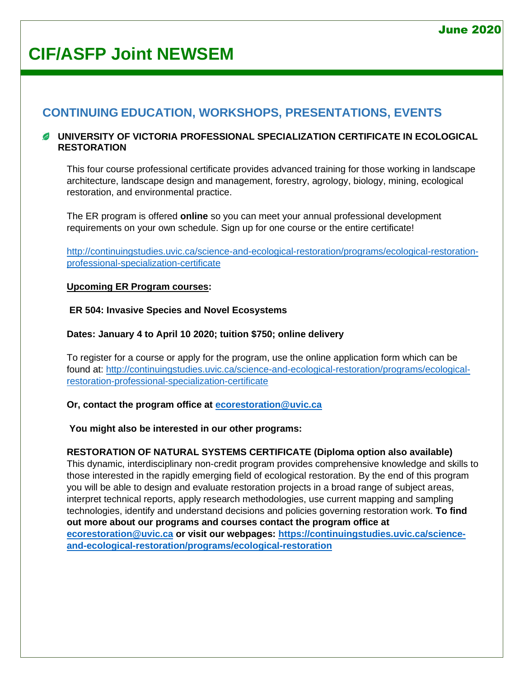### **CONTINUING EDUCATION, WORKSHOPS, PRESENTATIONS, EVENTS**

### **UNIVERSITY OF VICTORIA PROFESSIONAL SPECIALIZATION CERTIFICATE IN ECOLOGICAL RESTORATION**

This four course professional certificate provides advanced training for those working in landscape architecture, landscape design and management, forestry, agrology, biology, mining, ecological restoration, and environmental practice.

The ER program is offered **online** so you can meet your annual professional development requirements on your own schedule. Sign up for one course or the entire certificate!

[http://continuingstudies.uvic.ca/science-and-ecological-restoration/programs/ecological-restoration](http://continuingstudies.uvic.ca/science-and-ecological-restoration/programs/ecological-restoration-professional-specialization-certificate)[professional-specialization-certificate](http://continuingstudies.uvic.ca/science-and-ecological-restoration/programs/ecological-restoration-professional-specialization-certificate)

### **Upcoming ER Program courses:**

### **ER 504: Invasive Species and Novel Ecosystems**

### **Dates: January 4 to April 10 2020; tuition \$750; online delivery**

To register for a course or apply for the program, use the online application form which can be found at: [http://continuingstudies.uvic.ca/science-and-ecological-restoration/programs/ecological](http://continuingstudies.uvic.ca/science-and-ecological-restoration/programs/ecological-restoration-professional-specialization-certificate)[restoration-professional-specialization-certificate](http://continuingstudies.uvic.ca/science-and-ecological-restoration/programs/ecological-restoration-professional-specialization-certificate)

### **Or, contact the program office at [ecorestoration@uvic.ca](mailto:ecorestoration@uvic.ca)**

### **You might also be interested in our other programs:**

### **RESTORATION OF NATURAL SYSTEMS CERTIFICATE (Diploma option also available)**

This dynamic, interdisciplinary non-credit program provides comprehensive knowledge and skills to those interested in the rapidly emerging field of ecological restoration. By the end of this program you will be able to design and evaluate restoration projects in a broad range of subject areas, interpret technical reports, apply research methodologies, use current mapping and sampling technologies, identify and understand decisions and policies governing restoration work. **To find out more about our programs and courses contact the program office at [ecorestoration@uvic.ca](mailto:ecorestoration@uvic.ca) or visit our webpages: [https://continuingstudies.uvic.ca/science](https://continuingstudies.uvic.ca/science-and-ecological-restoration/programs/ecological-restoration)[and-ecological-restoration/programs/ecological-restoration](https://continuingstudies.uvic.ca/science-and-ecological-restoration/programs/ecological-restoration)**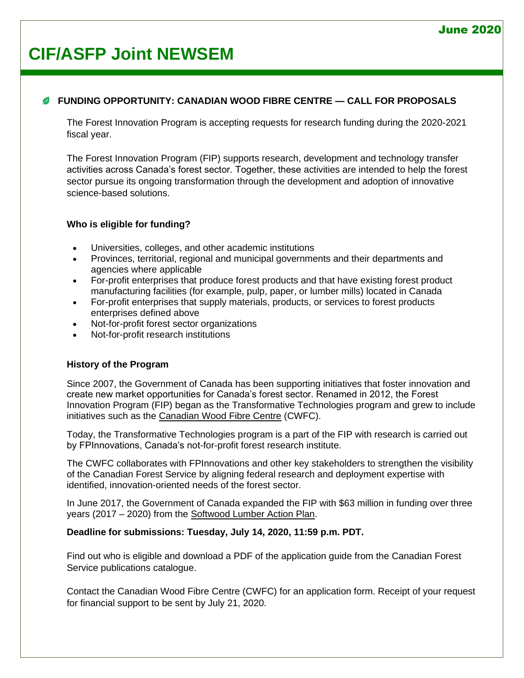### **FUNDING OPPORTUNITY: CANADIAN WOOD FIBRE CENTRE — CALL FOR PROPOSALS**

The Forest Innovation Program is accepting requests for research funding during the 2020-2021 fiscal year.

The Forest Innovation Program (FIP) supports research, development and technology transfer activities across Canada's forest sector. Together, these activities are intended to help the forest sector pursue its ongoing transformation through the development and adoption of innovative science-based solutions.

### **Who is eligible for funding?**

- Universities, colleges, and other academic institutions
- Provinces, territorial, regional and municipal governments and their departments and agencies where applicable
- For-profit enterprises that produce forest products and that have existing forest product manufacturing facilities (for example, pulp, paper, or lumber mills) located in Canada
- For-profit enterprises that supply materials, products, or services to forest products enterprises defined above
- Not-for-profit forest sector organizations
- Not-for-profit research institutions

### **History of the Program**

Since 2007, the Government of Canada has been supporting initiatives that foster innovation and create new market opportunities for Canada's forest sector. Renamed in 2012, the Forest Innovation Program (FIP) began as the Transformative Technologies program and grew to include initiatives such as the [Canadian Wood Fibre Centre](https://www.nrcan.gc.ca/science-data/research-centres-labs/forestry-research-centres/canadian-wood-fibre-centre/13457) (CWFC).

Today, the Transformative Technologies program is a part of the FIP with research is carried out by FPInnovations, Canada's not-for-profit forest research institute.

The CWFC collaborates with FPInnovations and other key stakeholders to strengthen the visibility of the Canadian Forest Service by aligning federal research and deployment expertise with identified, innovation-oriented needs of the forest sector.

In June 2017, the Government of Canada expanded the FIP with \$63 million in funding over three years (2017 – 2020) from the [Softwood Lumber Action Plan.](https://www.nrcan.gc.ca/our-natural-resources/forests-forestry/forest-industry-trade/softwood-lumber/19601)

#### **Deadline for submissions: Tuesday, July 14, 2020, 11:59 p.m. PDT.**

Find out who is eligible and download a PDF of the application guide from the Canadian Forest Service publications catalogue.

Contact the Canadian Wood Fibre Centre (CWFC) for an application form. Receipt of your request for financial support to be sent by July 21, 2020.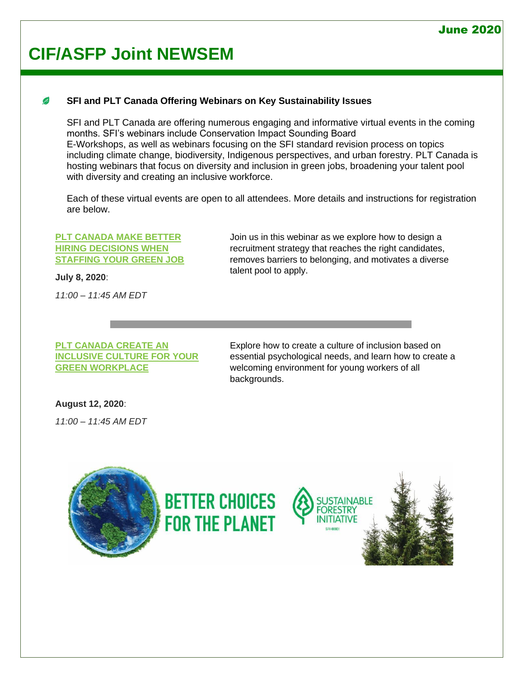#### B **SFI and PLT Canada Offering Webinars on Key Sustainability Issues**

SFI and PLT Canada are offering numerous engaging and informative virtual events in the coming months. SFI's webinars include Conservation Impact Sounding Board E-Workshops, as well as webinars focusing on the SFI standard revision process on topics including climate change, biodiversity, Indigenous perspectives, and urban forestry. PLT Canada is hosting webinars that focus on diversity and inclusion in green jobs, broadening your talent pool with diversity and creating an inclusive workforce.

Each of these virtual events are open to all attendees. More details and instructions for registration are below.

#### **[PLT CANADA MAKE BETTER](http://r20.rs6.net/tn.jsp?f=001hsefFEq6SDtS-59HpI16YrnDZ_xFErS9UqrLX600Nno5YvnzI__BUt1WcIVfPpih-NWaLxBnQLJ0NyS3KPy1GYnJ1A9Xcs4ecRL2_5a7yNDx1Xp5D9OZqDEhuBKj4UJpQdFPcaGvGOqvY1Eh_Mc56I4XZk3d3I-5InG_ZfQZ3Y_c6FBnTxoe_-BEPYLyHf3cj1_9R82OZImKoFV0hd7OILy8Stox0v33&c=j-jrpvMQQ2AFJUk0VZ4cTBhjAKC07ToXCJQ1m4t0REfwHd-Ri7BzSw==&ch=Ru7gP_iL7Ght1ghZ81hyKGzj-uw0C3zCGd9F6jbG6YIj9XJN_x4KIw==)  [HIRING DECISIONS WHEN](http://r20.rs6.net/tn.jsp?f=001hsefFEq6SDtS-59HpI16YrnDZ_xFErS9UqrLX600Nno5YvnzI__BUt1WcIVfPpih-NWaLxBnQLJ0NyS3KPy1GYnJ1A9Xcs4ecRL2_5a7yNDx1Xp5D9OZqDEhuBKj4UJpQdFPcaGvGOqvY1Eh_Mc56I4XZk3d3I-5InG_ZfQZ3Y_c6FBnTxoe_-BEPYLyHf3cj1_9R82OZImKoFV0hd7OILy8Stox0v33&c=j-jrpvMQQ2AFJUk0VZ4cTBhjAKC07ToXCJQ1m4t0REfwHd-Ri7BzSw==&ch=Ru7gP_iL7Ght1ghZ81hyKGzj-uw0C3zCGd9F6jbG6YIj9XJN_x4KIw==)  [STAFFING YOUR GREEN JOB](http://r20.rs6.net/tn.jsp?f=001hsefFEq6SDtS-59HpI16YrnDZ_xFErS9UqrLX600Nno5YvnzI__BUt1WcIVfPpih-NWaLxBnQLJ0NyS3KPy1GYnJ1A9Xcs4ecRL2_5a7yNDx1Xp5D9OZqDEhuBKj4UJpQdFPcaGvGOqvY1Eh_Mc56I4XZk3d3I-5InG_ZfQZ3Y_c6FBnTxoe_-BEPYLyHf3cj1_9R82OZImKoFV0hd7OILy8Stox0v33&c=j-jrpvMQQ2AFJUk0VZ4cTBhjAKC07ToXCJQ1m4t0REfwHd-Ri7BzSw==&ch=Ru7gP_iL7Ght1ghZ81hyKGzj-uw0C3zCGd9F6jbG6YIj9XJN_x4KIw==)**

**July 8, 2020**:

*11:00 – 11:45 AM EDT*

Join us in this webinar as we explore how to design a recruitment strategy that reaches the right candidates, removes barriers to belonging, and motivates a diverse talent pool to apply.

### **[PLT CANADA CREATE AN](http://r20.rs6.net/tn.jsp?f=001hsefFEq6SDtS-59HpI16YrnDZ_xFErS9UqrLX600Nno5YvnzI__BUt1WcIVfPpihUNySz0GOMn1p8CwYnaEQrJVo7RmyrIM9IKQguie0zJYGRaDZzYe8YW-9rAM2L36k0dZ_lsMoRh0iluSyouqX212-2AGfNfm1LKY644sFlrAgaOzW5jPKyrgby15zjqAVbPMT5yRLocclpNbTR_9ImUTF6o1mY9Ro&c=j-jrpvMQQ2AFJUk0VZ4cTBhjAKC07ToXCJQ1m4t0REfwHd-Ri7BzSw==&ch=Ru7gP_iL7Ght1ghZ81hyKGzj-uw0C3zCGd9F6jbG6YIj9XJN_x4KIw==)  [INCLUSIVE CULTURE FOR YOUR](http://r20.rs6.net/tn.jsp?f=001hsefFEq6SDtS-59HpI16YrnDZ_xFErS9UqrLX600Nno5YvnzI__BUt1WcIVfPpihUNySz0GOMn1p8CwYnaEQrJVo7RmyrIM9IKQguie0zJYGRaDZzYe8YW-9rAM2L36k0dZ_lsMoRh0iluSyouqX212-2AGfNfm1LKY644sFlrAgaOzW5jPKyrgby15zjqAVbPMT5yRLocclpNbTR_9ImUTF6o1mY9Ro&c=j-jrpvMQQ2AFJUk0VZ4cTBhjAKC07ToXCJQ1m4t0REfwHd-Ri7BzSw==&ch=Ru7gP_iL7Ght1ghZ81hyKGzj-uw0C3zCGd9F6jbG6YIj9XJN_x4KIw==)  [GREEN WORKPLACE](http://r20.rs6.net/tn.jsp?f=001hsefFEq6SDtS-59HpI16YrnDZ_xFErS9UqrLX600Nno5YvnzI__BUt1WcIVfPpihUNySz0GOMn1p8CwYnaEQrJVo7RmyrIM9IKQguie0zJYGRaDZzYe8YW-9rAM2L36k0dZ_lsMoRh0iluSyouqX212-2AGfNfm1LKY644sFlrAgaOzW5jPKyrgby15zjqAVbPMT5yRLocclpNbTR_9ImUTF6o1mY9Ro&c=j-jrpvMQQ2AFJUk0VZ4cTBhjAKC07ToXCJQ1m4t0REfwHd-Ri7BzSw==&ch=Ru7gP_iL7Ght1ghZ81hyKGzj-uw0C3zCGd9F6jbG6YIj9XJN_x4KIw==)**

Explore how to create a culture of inclusion based on essential psychological needs, and learn how to create a welcoming environment for young workers of all backgrounds.

**August 12, 2020**:

*11:00 – 11:45 AM EDT*

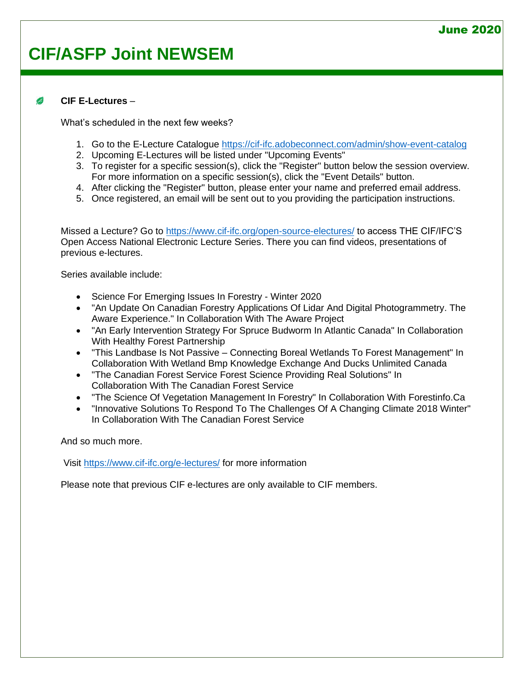#### **CIF E-Lectures** – B

What's scheduled in the next few weeks?

- 1. [Go to the E-Lecture Catalogue](https://cif-ifc.adobeconnect.com/admin/show-event-catalog) <https://cif-ifc.adobeconnect.com/admin/show-event-catalog>
- 2. Upcoming E-Lectures will be listed under "Upcoming Events"
- 3. To register for a specific session(s), click the "Register" button below the session overview. For more information on a specific session(s), click the "Event Details" button.
- 4. After clicking the "Register" button, please enter your name and preferred email address.
- 5. Once registered, an email will be sent out to you providing the participation instructions.

Missed a Lecture? Go to<https://www.cif-ifc.org/open-source-electures/> to access THE CIF/IFC'S Open Access National Electronic Lecture Series. There you can find videos, presentations of previous e-lectures.

Series available include:

- Science For Emerging Issues In Forestry Winter 2020
- "An Update On Canadian Forestry Applications Of Lidar And Digital Photogrammetry. The Aware Experience." In Collaboration With The Aware Project
- "An Early Intervention Strategy For Spruce Budworm In Atlantic Canada" In Collaboration With Healthy Forest Partnership
- "This Landbase Is Not Passive Connecting Boreal Wetlands To Forest Management" In Collaboration With Wetland Bmp Knowledge Exchange And Ducks Unlimited Canada
- "The Canadian Forest Service Forest Science Providing Real Solutions" In Collaboration With The Canadian Forest Service
- "The Science Of Vegetation Management In Forestry" In Collaboration With Forestinfo.Ca
- "Innovative Solutions To Respond To The Challenges Of A Changing Climate 2018 Winter" In Collaboration With The Canadian Forest Service

And so much more.

Visit<https://www.cif-ifc.org/e-lectures/> for more information

Please note that previous CIF e-lectures are only available to CIF members.